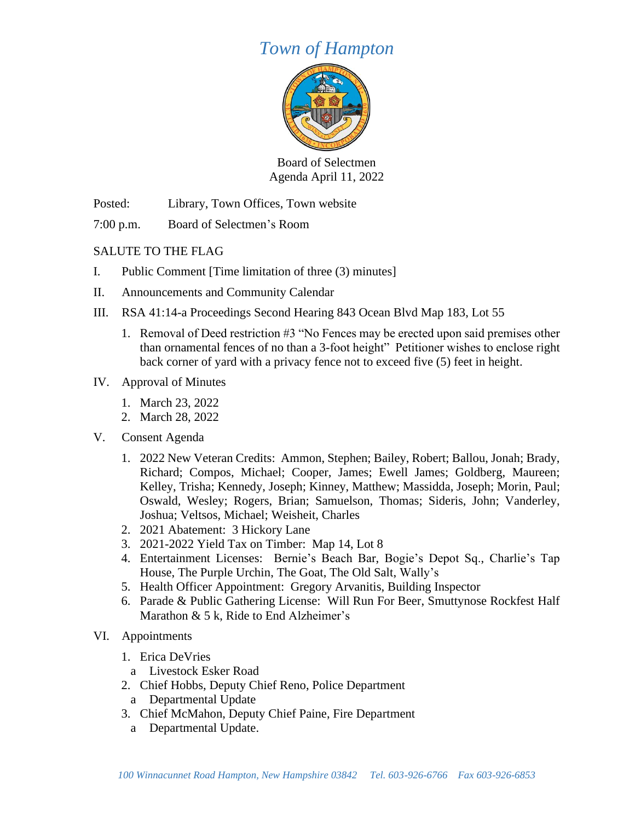## *Town of Hampton*



Board of Selectmen Agenda April 11, 2022

Posted: Library, Town Offices, Town website

7:00 p.m. Board of Selectmen's Room

## SALUTE TO THE FLAG

- I. Public Comment [Time limitation of three (3) minutes]
- II. Announcements and Community Calendar
- III. RSA 41:14-a Proceedings Second Hearing 843 Ocean Blvd Map 183, Lot 55
	- 1. Removal of Deed restriction #3 "No Fences may be erected upon said premises other than ornamental fences of no than a 3-foot height" Petitioner wishes to enclose right back corner of yard with a privacy fence not to exceed five (5) feet in height.
- IV. Approval of Minutes
	- 1. March 23, 2022
	- 2. March 28, 2022
- V. Consent Agenda
	- 1. 2022 New Veteran Credits: Ammon, Stephen; Bailey, Robert; Ballou, Jonah; Brady, Richard; Compos, Michael; Cooper, James; Ewell James; Goldberg, Maureen; Kelley, Trisha; Kennedy, Joseph; Kinney, Matthew; Massidda, Joseph; Morin, Paul; Oswald, Wesley; Rogers, Brian; Samuelson, Thomas; Sideris, John; Vanderley, Joshua; Veltsos, Michael; Weisheit, Charles
	- 2. 2021 Abatement: 3 Hickory Lane
	- 3. 2021-2022 Yield Tax on Timber: Map 14, Lot 8
	- 4. Entertainment Licenses: Bernie's Beach Bar, Bogie's Depot Sq., Charlie's Tap House, The Purple Urchin, The Goat, The Old Salt, Wally's
	- 5. Health Officer Appointment: Gregory Arvanitis, Building Inspector
	- 6. Parade & Public Gathering License: Will Run For Beer, Smuttynose Rockfest Half Marathon & 5 k, Ride to End Alzheimer's
- VI. Appointments
	- 1. Erica DeVries
		- a Livestock Esker Road
	- 2. Chief Hobbs, Deputy Chief Reno, Police Department
	- a Departmental Update
	- 3. Chief McMahon, Deputy Chief Paine, Fire Department
		- a Departmental Update.